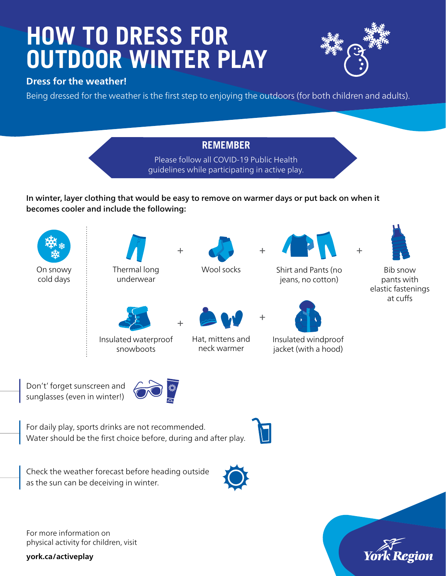# **HOW TO DRESS FOR OUTDOOR WINTER PLAY**

#### **Dress for the weather!**

Being dressed for the weather is the first step to enjoying the outdoors (for both children and adults).

### **REMEMBER**

Please follow all COVID-19 Public Health guidelines while participating in active play.

In winter, layer clothing that would be easy to remove on warmer days or put back on when it becomes cooler and include the following:



Don't' forget sunscreen and sunglasses (even in winter!)



For daily play, sports drinks are not recommended. Water should be the first choice before, during and after play.



Check the weather forecast before heading outside as the sun can be deceiving in winter.

For more information on physical activity for children, visit

**york.ca/activeplay**